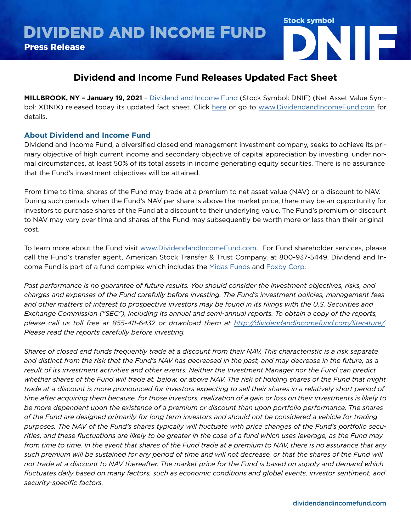

## **Dividend and Income Fund Releases Updated Fact Sheet**

**MILLBROOK, NY – January 19, 2021** – [Dividend and Income Fund](http://www.dividendandincomefund.com) (Stock Symbol: DNIF) (Net Asset Value Symbol: XDNIX) released today its updated fact sheet. Click [here](https://dividendandincomefund.com/fact-sheet/) or go to [www.DividendandIncomeFund.com](https://dividendandincomefund.com/) for details.

## **About Dividend and Income Fund**

Dividend and Income Fund, a diversified closed end management investment company, seeks to achieve its primary objective of high current income and secondary objective of capital appreciation by investing, under normal circumstances, at least 50% of its total assets in income generating equity securities. There is no assurance that the Fund's investment objectives will be attained.

From time to time, shares of the Fund may trade at a premium to net asset value (NAV) or a discount to NAV. During such periods when the Fund's NAV per share is above the market price, there may be an opportunity for investors to purchase shares of the Fund at a discount to their underlying value. The Fund's premium or discount to NAV may vary over time and shares of the Fund may subsequently be worth more or less than their original cost.

To learn more about the Fund visit [www.DividendandIncomeFund.com](http://www.DividendandIncomeFund.com). For Fund shareholder services, please call the Fund's transfer agent, American Stock Transfer & Trust Company, at 800-937-5449. Dividend and Income Fund is part of a fund complex which includes the [Midas Funds a](http://www.midasfunds.com)nd [Foxby Corp.](http://www.foxbycorp.com)

*Past performance is no guarantee of future results. You should consider the investment objectives, risks, and charges and expenses of the Fund carefully before investing. The Fund's investment policies, management fees and other matters of interest to prospective investors may be found in its filings with the U.S. Securities and Exchange Commission ("SEC"), including its annual and semi-annual reports. To obtain a copy of the reports, please call us toll free at 855-411-6432 or download them at <http://dividendandincomefund.com/literature/>. Please read the reports carefully before investing.*

*Shares of closed end funds frequently trade at a discount from their NAV. This characteristic is a risk separate and distinct from the risk that the Fund's NAV has decreased in the past, and may decrease in the future, as a result of its investment activities and other events. Neither the Investment Manager nor the Fund can predict whether shares of the Fund will trade at, below, or above NAV. The risk of holding shares of the Fund that might trade at a discount is more pronounced for investors expecting to sell their shares in a relatively short period of time after acquiring them because, for those investors, realization of a gain or loss on their investments is likely to be more dependent upon the existence of a premium or discount than upon portfolio performance. The shares of the Fund are designed primarily for long term investors and should not be considered a vehicle for trading purposes. The NAV of the Fund's shares typically will fluctuate with price changes of the Fund's portfolio securities, and these fluctuations are likely to be greater in the case of a fund which uses leverage, as the Fund may from time to time. In the event that shares of the Fund trade at a premium to NAV, there is no assurance that any such premium will be sustained for any period of time and will not decrease, or that the shares of the Fund will not trade at a discount to NAV thereafter. The market price for the Fund is based on supply and demand which fluctuates daily based on many factors, such as economic conditions and global events, investor sentiment, and security-specific factors.*